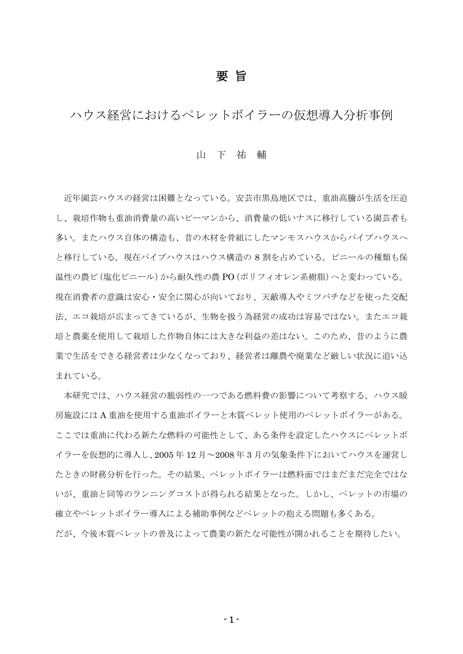## 要 旨

ハウス経営におけるペレットボイラーの仮想導入分析事例

## 山 下 祐 輔

近年園芸ハウスの経営は困難となっている。安芸市黒鳥地区では、重油高騰が生活を圧迫 し、栽培作物も重油消費量の高いピーマンから、消費量の低いナスに移行している園芸者も 多い。またハウス自体の構造も、昔の木材を骨組にしたマンモスハウスからパイプハウスへ と移行している。現在パイプハウスはハウス構造の 8 割を占めている。ビニールの種類も保 温性の農ビ(塩化ビニール)から耐久性の農 PO(ポリフィオレン系樹脂)へと変わっている。 現在消費者の意識は安心・安全に関心が向いており、天敵導入やミツバチなどを使った交配 法、エコ栽培が広まってきているが、生物を扱う為経営の成功は容易ではない。またエコ栽 培と農薬を使用して栽培した作物自体には大きな利益の差はない。このため、昔のように農 業で生活をできる経営者はなくなっており、経営者は離農や廃業など厳しい状況に追い込 まれている。

本研究では、ハウス経営の脆弱性の一つである燃料費の影響について考察する。ハウス暖 房施設には A 重油を使用する重油ボイラーと木質ペレット使用のペレットボイラーがある。 ここでは重油に代わる新たな燃料の可能性として、ある条件を設定したハウスにペレットボ イラーを仮想的に導入し、2005 年 12 月~2008 年 3 月の気象条件下においてハウスを運営し たときの財務分析を行った。その結果、ペレットボイラーは燃料面ではまだまだ完全ではな いが、重油と同等のランニングコストが得られる結果となった。しかし、ペレットの市場の 確立やペレットボイラー導入による補助事例などペレットの抱える問題も多くある。 だが、今後木質ペレットの普及によって農業の新たな可能性が開かれることを期待したい。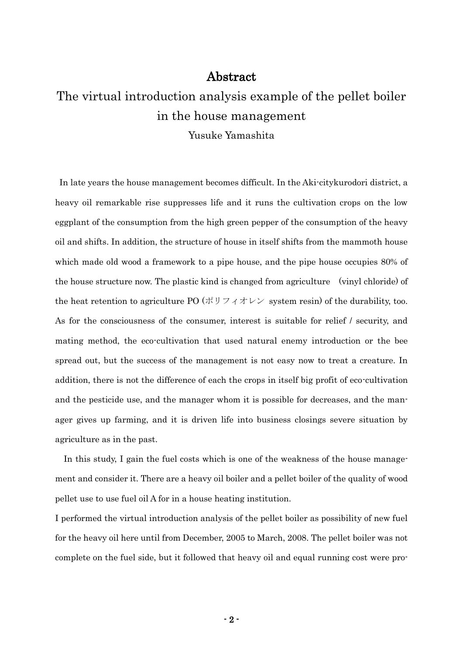## Abstract

## The virtual introduction analysis example of the pellet boiler in the house management

Yusuke Yamashita

In late years the house management becomes difficult. In the Aki-citykurodori district, a heavy oil remarkable rise suppresses life and it runs the cultivation crops on the low eggplant of the consumption from the high green pepper of the consumption of the heavy oil and shifts. In addition, the structure of house in itself shifts from the mammoth house which made old wood a framework to a pipe house, and the pipe house occupies 80% of the house structure now. The plastic kind is changed from agriculture (vinyl chloride) of the heat retention to agriculture PO  $(\forall \forall y \forall x \forall y \forall y$  system resin) of the durability, too. As for the consciousness of the consumer, interest is suitable for relief / security, and mating method, the eco-cultivation that used natural enemy introduction or the bee spread out, but the success of the management is not easy now to treat a creature. In addition, there is not the difference of each the crops in itself big profit of eco-cultivation and the pesticide use, and the manager whom it is possible for decreases, and the manager gives up farming, and it is driven life into business closings severe situation by agriculture as in the past.

In this study, I gain the fuel costs which is one of the weakness of the house management and consider it. There are a heavy oil boiler and a pellet boiler of the quality of wood pellet use to use fuel oil A for in a house heating institution.

I performed the virtual introduction analysis of the pellet boiler as possibility of new fuel for the heavy oil here until from December, 2005 to March, 2008. The pellet boiler was not complete on the fuel side, but it followed that heavy oil and equal running cost were pro